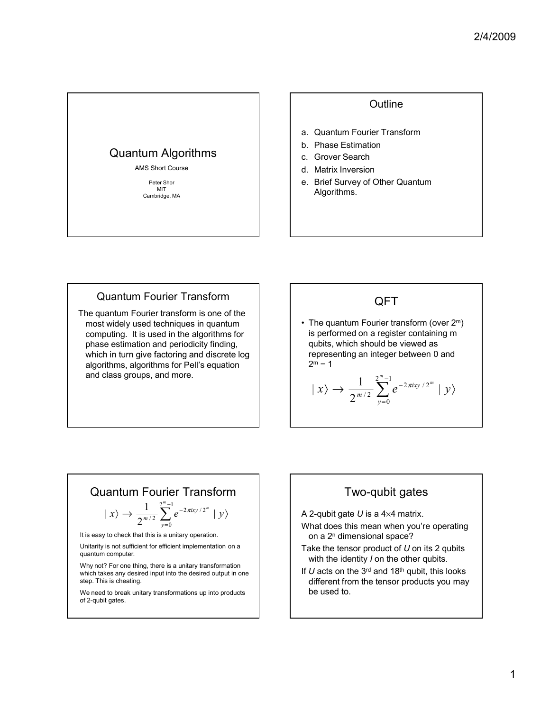

#### **Outline**

- a. Quantum Fourier Transform
- b. Phase Estimation
- c. Grover Search
- d. Matrix Inversion
- e. Brief Survey of Other Quantum Algorithms.

#### Quantum Fourier Transform

The quantum Fourier transform is one of the most widely used techniques in quantum computing. It is used in the algorithms for phase estimation and periodicity finding, which in turn give factoring and discrete log algorithms, algorithms for Pell's equation and class groups, and more.

# QFT

• The quantum Fourier transform (over  $2<sup>m</sup>$ ) is performed on a register containing m qubits, which should be viewed as representing an integer between 0 and  $2^m - 1$ 

$$
| x \rangle \rightarrow \frac{1}{2^{m/2}} \sum_{y=0}^{2^m-1} e^{-2\pi ixy/2^m} | y \rangle
$$

# Quantum Fourier Transform

$$
| x \rangle \rightarrow \frac{1}{2^{m/2}} \sum_{y=0}^{2^m-1} e^{-2\pi i xy/2^m} | y \rangle
$$

It is easy to check that this is a unitary operation.

Unitarity is not sufficient for efficient implementation on a quantum computer.

Why not? For one thing, there is a unitary transformation which takes any desired input into the desired output in one step. This is cheating.

We need to break unitary transformations up into products of 2-qubit gates.

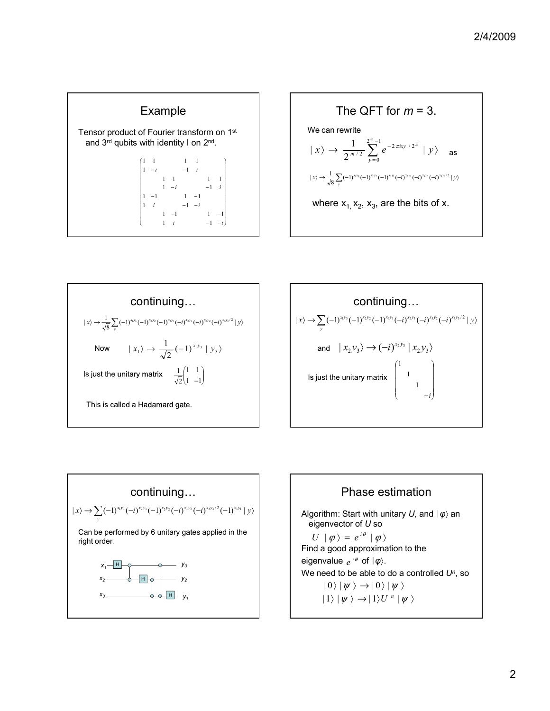









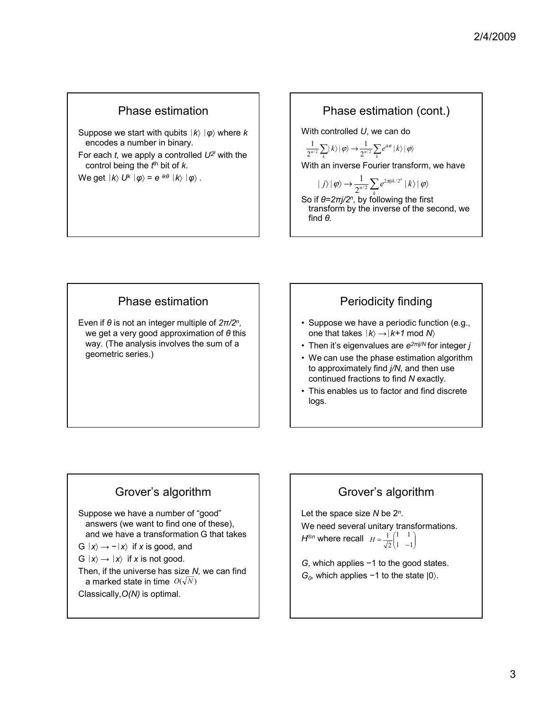# Phase estimation

Suppose we start with qubits *k*〉 *φ*〉 where *k* encodes a number in binary.

For each  $t$ , we apply a controlled  $U^{2<sup>t</sup>}$  with the control being the *t*<sup>th</sup> bit of *k*.

We get  $|k\rangle U^k | \varphi \rangle = e^{ik\theta} |k\rangle | \varphi \rangle$ .

## Phase estimation (cont.)

With controlled *U*, we can do

$$
\frac{1}{2^{n/2}}\sum_{k}|k\rangle|\varphi\rangle \rightarrow \frac{1}{2^{n/2}}\sum_{k}e^{ik\theta}|k\rangle|\varphi\rangle
$$

With an inverse Fourier transform, we have

$$
|j\rangle|\varphi\rangle \rightarrow \frac{1}{2^{n/2}}\sum_{k}e^{2\pi i jk/2^{n}}|k\rangle|\varphi\rangle
$$

So if *θ=2πj/2n,* by following the first transform by the inverse of the second, we find *θ.*

## Phase estimation

Even if *θ* is not an integer multiple of *2π/2n,* we get a very good approximation of *θ* this way. (The analysis involves the sum of a geometric series.)

# Periodicity finding

- Suppose we have a periodic function (e.g., one that takes  $|k\rangle \rightarrow |k+1 \text{ mod } N\rangle$
- Then it's eigenvalues are *e2πij/N* for integer *j*
- We can use the phase estimation algorithm to approximately find *j/N,* and then use continued fractions to find *N* exactly.
- This enables us to factor and find discrete logs.

# Grover's algorithm

Suppose we have a number of "good" answers (we want to find one of these), and we have a transformation G that takes

G  $|x\rangle \rightarrow -|x\rangle$  if *x* is good, and

 $G |x\rangle \rightarrow |x\rangle$  if *x* is not good.

Then, if the universe has size *N,* we can find a marked state in time  $\mathit{O}(\sqrt{N})$ 

Classically,*O(N)* is optimal.

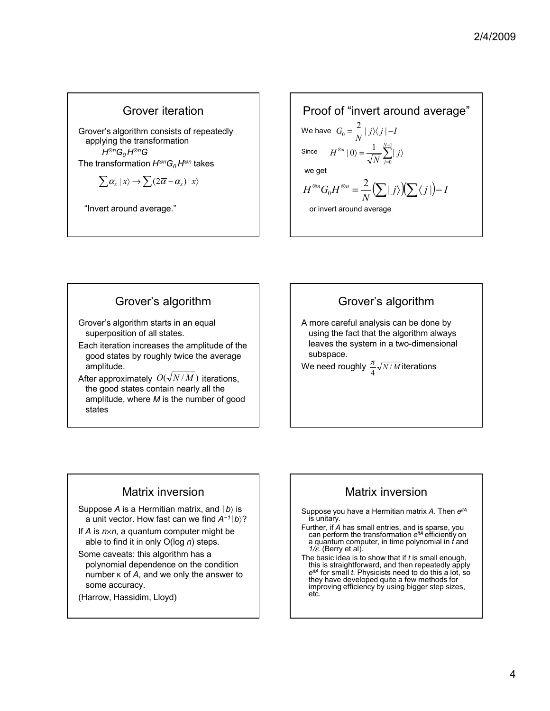# Grover iteration

Grover's algorithm consists of repeatedly applying the transformation *H*⊗<sup>*n*</sup>G<sub>0</sub> H⊗<sup>*n*</sup>G The transformation  $H^{\otimes n}G_0H^{\otimes n}$  takes

$$
\sum \alpha_x \mid x \rangle \rightarrow \sum (2\overline{\alpha} - \alpha_x) \mid x \rangle
$$

"Invert around average."

Proof of "invert around average"  
\nWe have 
$$
G_0 = \frac{2}{N} |j \rangle \langle j| - I
$$
  
\nSince  $H^{\otimes n} |0 \rangle = \frac{1}{\sqrt{N}} \sum_{j=0}^{N-1} |j \rangle$   
\nwe get  
\n $H^{\otimes n} G_0 H^{\otimes n} = \frac{2}{N} (\sum |j \rangle) (\sum \langle j|) - I$   
\nor invert around average.

# Grover's algorithm Grover's algorithm starts in an equal superposition of all states.

- Each iteration increases the amplitude of the good states by roughly twice the average amplitude.
- After approximately  $O(\sqrt{N/M})$  iterations, the good states contain nearly all the amplitude, where *M* is the number of good states

# Grover's algorithm

A more careful analysis can be done by using the fact that the algorithm always leaves the system in a two-dimensional subspace.

We need roughly  $\frac{\pi}{4}$   $\sqrt{N/M}$  iterations π

# Matrix inversion

Suppose *A* is a Hermitian matrix, and  $|b\rangle$  is a unit vector. How fast can we find *A<sup>−</sup>1b*〉?

- If *A* is *n*×*n,* a quantum computer might be able to find it in only O(log *n*) steps.
- Some caveats: this algorithm has a polynomial dependence on the condition number κ of *A,* and we only the answer to some accuracy.
- (Harrow, Hassidim, Lloyd)

# Matrix inversion

Suppose you have a Hermitian matrix *A*. Then *eitA* is unitary.

- Further, if *A* has small entries, and is sparse, you can perform the transformation *eitA* efficiently on a quantum computer, in time polynomial in *t* and *1/*ε. (Berry et al).
- The basic idea is to show that if *t* is small enough, this is straightforward, and then repeatedly apply *eitA* for small *t.* Physicists need to do this a lot, so they have developed quite a few methods for improving efficiency by using bigger step sizes, etc.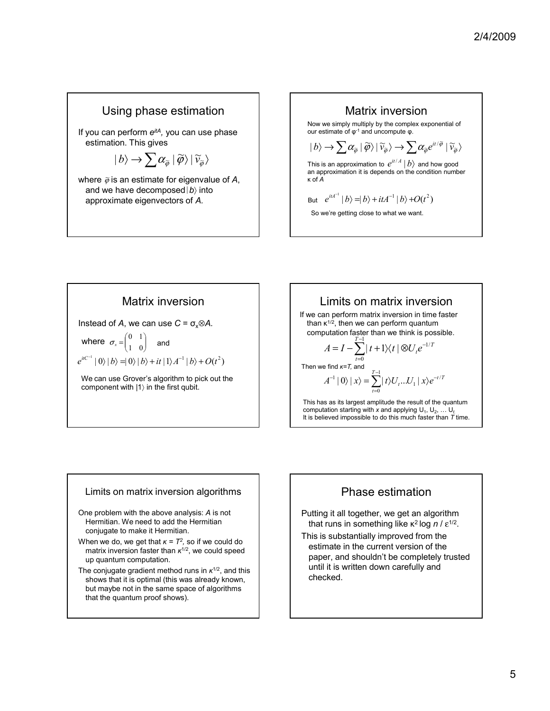# Using phase estimation

If you can perform *eitA,* you can use phase estimation. This gives

$$
|b\rangle \rightarrow \sum \alpha_{\widetilde{\varphi}} \,|\, \widetilde{\varphi}\rangle \,|\, \widetilde{v}_{\widetilde{\varphi}}\rangle
$$

where  $\tilde{\varphi}$  is an estimate for eigenvalue of A, and we have decomposed | b into approximate eigenvectors of *A.*



Matrix inversion

Instead of *A*, we can use  $C = \sigma_x \otimes A$ .

where  $\sigma_x = \begin{bmatrix} 0 & 1 \\ 1 & 0 \end{bmatrix}$ J Ι  $\overline{\phantom{a}}$  $\sigma_x = \begin{pmatrix} 0 & 1 \\ 1 & 0 \end{pmatrix}$  and

 $|e^{itC^{-1}}|0\rangle|b\rangle=|0\rangle|b\rangle+it|1\rangle A^{-1}|b\rangle+O(t^2)$ 

We can use Grover's algorithm to pick out the component with |1〉 in the first qubit.

# Limits on matrix inversion

If we can perform matrix inversion in time faster than  $κ^{1/2}$ , then we can perform quantum computation faster than we think is possible.

$$
A = I - \sum_{t=0}^{T-1} |t+1\rangle\langle t| \otimes U_t e^{-1/T}
$$
  
we find  $\kappa = T$ , and  

$$
A^{-1} |0\rangle |x\rangle = \sum_{t=0}^{T-1} |t\rangle U_t...U_1 |x\rangle e^{-t/T}
$$

Then

This has as its largest amplitude the result of the quantum computation starting with *x* and applying  $U_1, U_2, ... U_t$ It is believed impossible to do this much faster than *T* time.

#### Limits on matrix inversion algorithms

- One problem with the above analysis: *A* is not Hermitian. We need to add the Hermitian conjugate to make it Hermitian.
- When we do, we get that  $\kappa = T^2$ , so if we could do matrix inversion faster than *κ*1/2, we could speed up quantum computation.
- The conjugate gradient method runs in *κ*1/2, and this shows that it is optimal (this was already known, but maybe not in the same space of algorithms that the quantum proof shows).



Putting it all together, we get an algorithm that runs in something like κ<sup>2</sup> log *n* / ε<sup>1/2</sup>.

This is substantially improved from the estimate in the current version of the paper, and shouldn't be completely trusted until it is written down carefully and checked.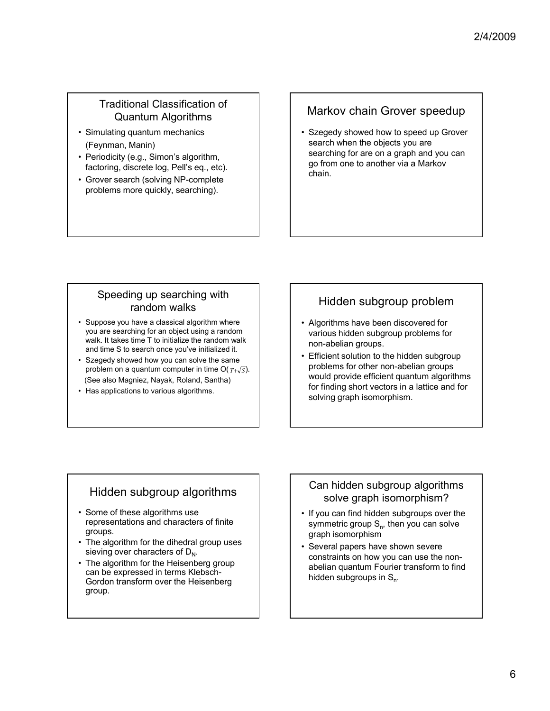### Traditional Classification of Quantum Algorithms

- Simulating quantum mechanics (Feynman, Manin)
- Periodicity (e.g., Simon's algorithm, factoring, discrete log, Pell's eq., etc).
- Grover search (solving NP-complete problems more quickly, searching).

# Markov chain Grover speedup

• Szegedy showed how to speed up Grover search when the objects you are searching for are on a graph and you can go from one to another via a Markov chain.

#### Speeding up searching with random walks

- Suppose you have a classical algorithm where you are searching for an object using a random walk. It takes time T to initialize the random walk and time S to search once you've initialized it.
- Szegedy showed how you can solve the same problem on a quantum computer in time  $O(T+\sqrt{S})$ . (See also Magniez, Nayak, Roland, Santha)
- Has applications to various algorithms.

# Hidden subgroup problem

- Algorithms have been discovered for various hidden subgroup problems for non-abelian groups.
- Efficient solution to the hidden subgroup problems for other non-abelian groups would provide efficient quantum algorithms for finding short vectors in a lattice and for solving graph isomorphism.

# Hidden subgroup algorithms

- Some of these algorithms use representations and characters of finite groups.
- The algorithm for the dihedral group uses sieving over characters of  $D_{N}$ .
- The algorithm for the Heisenberg group can be expressed in terms Klebsch-Gordon transform over the Heisenberg group.

### Can hidden subgroup algorithms solve graph isomorphism?

- If you can find hidden subgroups over the symmetric group  $S_n$ , then you can solve graph isomorphism
- Several papers have shown severe constraints on how you can use the nonabelian quantum Fourier transform to find hidden subgroups in  $S_n$ .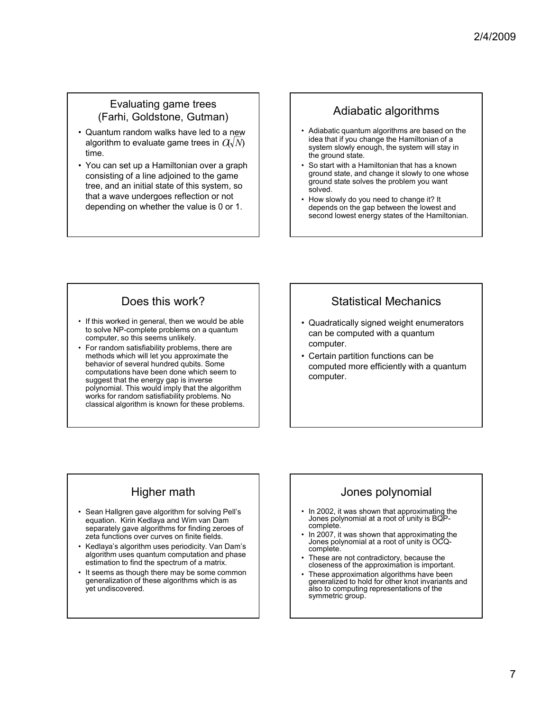### Evaluating game trees (Farhi, Goldstone, Gutman)

- Quantum random walks have led to a new algorithm to evaluate game trees in  $\mathit{C}\langle \sqrt{N} \rangle$ time.
- You can set up a Hamiltonian over a graph consisting of a line adjoined to the game tree, and an initial state of this system, so that a wave undergoes reflection or not depending on whether the value is 0 or 1.

# Adiabatic algorithms

- Adiabatic quantum algorithms are based on the idea that if you change the Hamiltonian of a system slowly enough, the system will stay in the ground state.
- So start with a Hamiltonian that has a known ground state, and change it slowly to one whose ground state solves the problem you want solved.
- How slowly do you need to change it? It depends on the gap between the lowest and second lowest energy states of the Hamiltonian.

# Does this work?

- If this worked in general, then we would be able to solve NP-complete problems on a quantum computer, so this seems unlikely.
- For random satisfiability problems, there are methods which will let you approximate the behavior of several hundred qubits. Some computations have been done which seem to suggest that the energy gap is inverse polynomial. This would imply that the algorithm works for random satisfiability problems. No classical algorithm is known for these problems.

# Statistical Mechanics

- Quadratically signed weight enumerators can be computed with a quantum computer.
- Certain partition functions can be computed more efficiently with a quantum computer.

# Higher math

- Sean Hallgren gave algorithm for solving Pell's equation. Kirin Kedlaya and Wim van Dam separately gave algorithms for finding zeroes of zeta functions over curves on finite fields.
- Kedlaya's algorithm uses periodicity. Van Dam's algorithm uses quantum computation and phase estimation to find the spectrum of a matrix.
- It seems as though there may be some common generalization of these algorithms which is as yet undiscovered.

# Jones polynomial

- In 2002, it was shown that approximating the Jones polynomial at a root of unity is BQPcomplete.
- In 2007, it was shown that approximating the Jones polynomial at a root of unity is OCQcomplete.
- These are not contradictory, because the closeness of the approximation is important.
- These approximation algorithms have been generalized to hold for other knot invariants and also to computing representations of the symmetric group.